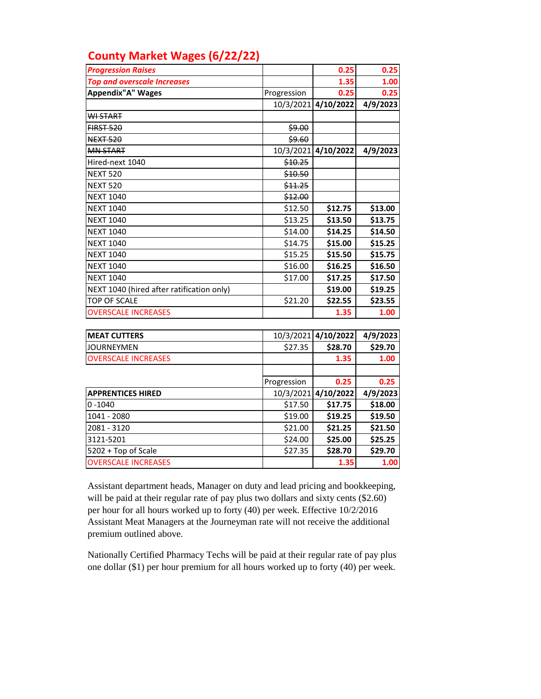| <b>County Market Wages (6/22/22)</b> |  |  |  |  |
|--------------------------------------|--|--|--|--|
|--------------------------------------|--|--|--|--|

| <b>Progression Raises</b>                 |             | 0.25      | 0.25     |
|-------------------------------------------|-------------|-----------|----------|
| <b>Top and overscale Increases</b>        |             | 1.35      | 1.00     |
| <b>Appendix"A" Wages</b>                  | Progression | 0.25      | 0.25     |
|                                           | 10/3/2021   | 4/10/2022 | 4/9/2023 |
| <b>WI-START</b>                           |             |           |          |
| <b>FIRST 520</b>                          | \$9.00      |           |          |
| <b>NEXT 520</b>                           | \$9.60      |           |          |
| <b>MN START</b>                           | 10/3/2021   | 4/10/2022 | 4/9/2023 |
| Hired-next 1040                           | \$10.25     |           |          |
| <b>NEXT 520</b>                           | \$10.50     |           |          |
| <b>NEXT 520</b>                           | \$11.25     |           |          |
| <b>NEXT 1040</b>                          | \$12.00     |           |          |
| <b>NEXT 1040</b>                          | \$12.50     | \$12.75   | \$13.00  |
| <b>NEXT 1040</b>                          | \$13.25     | \$13.50   | \$13.75  |
| <b>NEXT 1040</b>                          | \$14.00     | \$14.25   | \$14.50  |
| <b>NEXT 1040</b>                          | \$14.75     | \$15.00   | \$15.25  |
| <b>NEXT 1040</b>                          | \$15.25     | \$15.50   | \$15.75  |
| <b>NEXT 1040</b>                          | \$16.00     | \$16.25   | \$16.50  |
| <b>NEXT 1040</b>                          | \$17.00     | \$17.25   | \$17.50  |
| NEXT 1040 (hired after ratification only) |             | \$19.00   | \$19.25  |
| <b>TOP OF SCALE</b>                       | \$21.20     | \$22.55   | \$23.55  |
| <b>OVERSCALE INCREASES</b>                |             | 1.35      | 1.00     |
|                                           |             |           |          |
| <b>MEAT CUTTERS</b>                       | 10/3/2021   | 4/10/2022 | 4/9/2023 |
| <b>JOURNEYMEN</b>                         | \$27.35     | \$28.70   | \$29.70  |
| <b>OVERSCALE INCREASES</b>                |             | 1.35      | 1.00     |
|                                           |             |           |          |
|                                           | Progression | 0.25      | 0.25     |
| <b>APPRENTICES HIRED</b>                  | 10/3/2021   | 4/10/2022 | 4/9/2023 |
| $0 - 1040$                                | \$17.50     | \$17.75   | \$18.00  |

1041 - 2080 \$19.00 **\$19.25 \$19.50** 2081 - 3120 \$21.00 **\$21.25 \$21.50** 3121-5201 \$24.00 **\$25.00 \$25.25** 5202 + Top of Scale **\$28.70 \$28.70 \$29.70** OVERSCALE INCREASES **1.35 1.00**

Assistant department heads, Manager on duty and lead pricing and bookkeeping, will be paid at their regular rate of pay plus two dollars and sixty cents  $(\$2.60)$ per hour for all hours worked up to forty (40) per week. Effective 10/2/2016 Assistant Meat Managers at the Journeyman rate will not receive the additional premium outlined above.

Nationally Certified Pharmacy Techs will be paid at their regular rate of pay plus one dollar (\$1) per hour premium for all hours worked up to forty (40) per week.